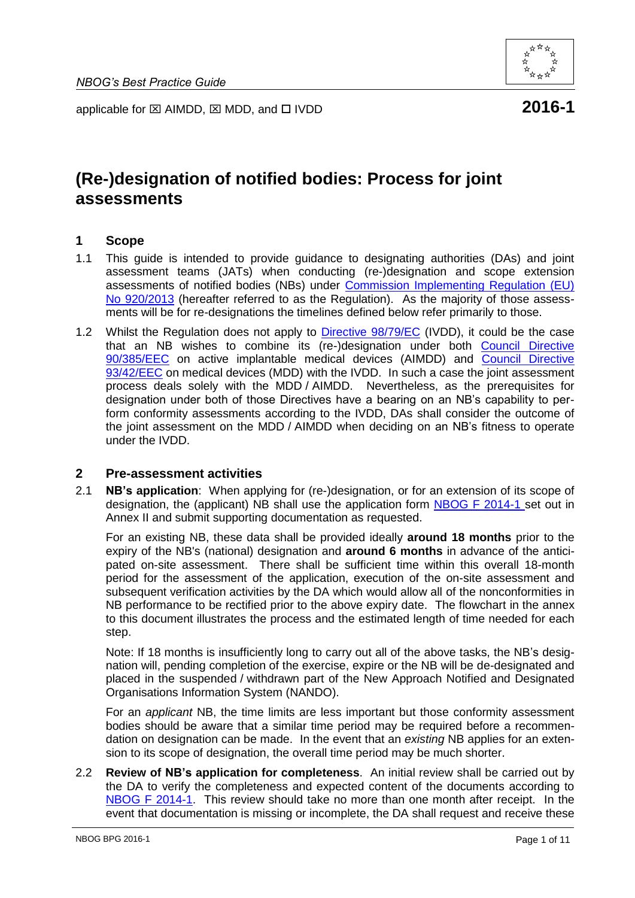

applicable for  $\boxtimes$  AIMDD,  $\boxtimes$  MDD, and  $\Box$  IVDD **2016-1** 

# **(Re-)designation of notified bodies: Process for joint assessments**

### **1 Scope**

- 1.1 This guide is intended to provide guidance to designating authorities (DAs) and joint assessment teams (JATs) when conducting (re-)designation and scope extension assessments of notified bodies (NBs) under [Commission Implementing Regulation \(EU\)](http://eur-lex.europa.eu/LexUriServ/LexUriServ.do?uri=OJ:L:2013:253:0008:0019:EN:PDF)  [No 920/2013](http://eur-lex.europa.eu/LexUriServ/LexUriServ.do?uri=OJ:L:2013:253:0008:0019:EN:PDF) (hereafter referred to as the Regulation). As the majority of those assessments will be for re-designations the timelines defined below refer primarily to those.
- 1.2 Whilst the Regulation does not apply to [Directive 98/79/EC](http://eur-lex.europa.eu/LexUriServ/LexUriServ.do?uri=CONSLEG:1998L0079:20120111:EN:PDF) (IVDD), it could be the case that an NB wishes to combine its (re-)designation under both [Council Directive](http://eur-lex.europa.eu/LexUriServ/LexUriServ.do?uri=CONSLEG:1990L0385:20071011:EN:PDF)  [90/385/EEC](http://eur-lex.europa.eu/LexUriServ/LexUriServ.do?uri=CONSLEG:1990L0385:20071011:EN:PDF) on active implantable medical devices (AIMDD) and [Council Directive](http://eur-lex.europa.eu/LexUriServ/LexUriServ.do?uri=CONSLEG:1993L0042:20071011:EN:PDF)  [93/42/EEC](http://eur-lex.europa.eu/LexUriServ/LexUriServ.do?uri=CONSLEG:1993L0042:20071011:EN:PDF) on medical devices (MDD) with the IVDD. In such a case the joint assessment process deals solely with the MDD / AIMDD. Nevertheless, as the prerequisites for designation under both of those Directives have a bearing on an NB's capability to perform conformity assessments according to the IVDD, DAs shall consider the outcome of the joint assessment on the MDD / AIMDD when deciding on an NB's fitness to operate under the IVDD.

#### **2 Pre-assessment activities**

2.1 **NB's application**:When applying for (re-)designation, or for an extension of its scope of designation, the (applicant) NB shall use the application form [NBOG F 2014-1](http://www.nbog.eu/resources/NBOG_F_2014_1.doc) set out in Annex II and submit supporting documentation as requested.

For an existing NB, these data shall be provided ideally **around 18 months** prior to the expiry of the NB's (national) designation and **around 6 months** in advance of the anticipated on-site assessment. There shall be sufficient time within this overall 18-month period for the assessment of the application, execution of the on-site assessment and subsequent verification activities by the DA which would allow all of the nonconformities in NB performance to be rectified prior to the above expiry date. The flowchart in the annex to this document illustrates the process and the estimated length of time needed for each step.

Note: If 18 months is insufficiently long to carry out all of the above tasks, the NB's designation will, pending completion of the exercise, expire or the NB will be de-designated and placed in the suspended / withdrawn part of the New Approach Notified and Designated Organisations Information System (NANDO).

For an *applicant* NB, the time limits are less important but those conformity assessment bodies should be aware that a similar time period may be required before a recommendation on designation can be made. In the event that an *existing* NB applies for an extension to its scope of designation, the overall time period may be much shorter.

2.2 **Review of NB's application for completeness**. An initial review shall be carried out by the DA to verify the completeness and expected content of the documents according to [NBOG F 2014-1.](http://www.nbog.eu/resources/NBOG_F_2014_1.doc) This review should take no more than one month after receipt. In the event that documentation is missing or incomplete, the DA shall request and receive these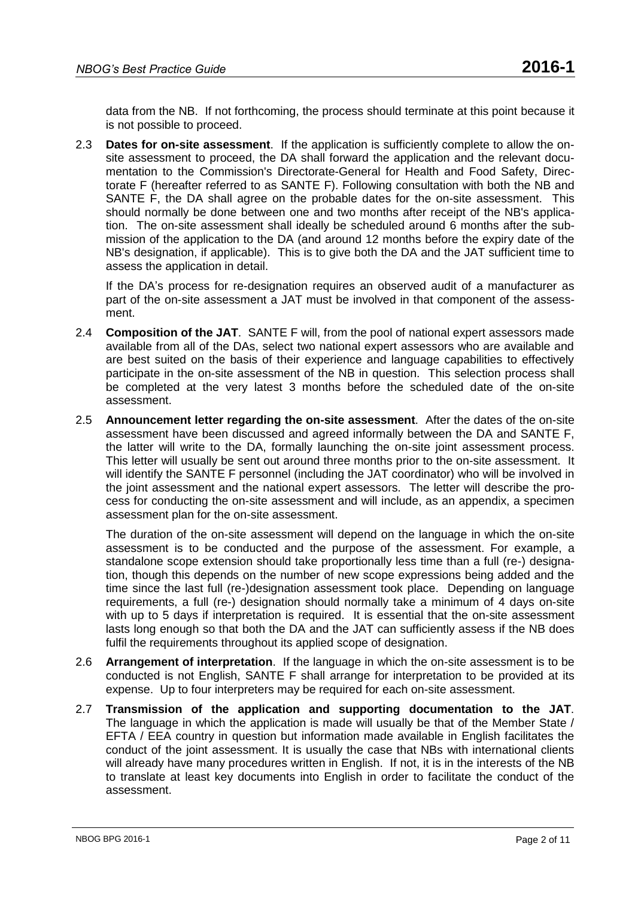data from the NB. If not forthcoming, the process should terminate at this point because it is not possible to proceed.

2.3 **Dates for on-site assessment**. If the application is sufficiently complete to allow the onsite assessment to proceed, the DA shall forward the application and the relevant documentation to the Commission's Directorate-General for Health and Food Safety, Directorate F (hereafter referred to as SANTE F). Following consultation with both the NB and SANTE F, the DA shall agree on the probable dates for the on-site assessment. This should normally be done between one and two months after receipt of the NB's application. The on-site assessment shall ideally be scheduled around 6 months after the submission of the application to the DA (and around 12 months before the expiry date of the NB's designation, if applicable). This is to give both the DA and the JAT sufficient time to assess the application in detail.

If the DA's process for re-designation requires an observed audit of a manufacturer as part of the on-site assessment a JAT must be involved in that component of the assessment.

- 2.4 **Composition of the JAT**. SANTE F will, from the pool of national expert assessors made available from all of the DAs, select two national expert assessors who are available and are best suited on the basis of their experience and language capabilities to effectively participate in the on-site assessment of the NB in question. This selection process shall be completed at the very latest 3 months before the scheduled date of the on-site assessment.
- 2.5 **Announcement letter regarding the on-site assessment**. After the dates of the on-site assessment have been discussed and agreed informally between the DA and SANTE F, the latter will write to the DA, formally launching the on-site joint assessment process. This letter will usually be sent out around three months prior to the on-site assessment. It will identify the SANTE F personnel (including the JAT coordinator) who will be involved in the joint assessment and the national expert assessors. The letter will describe the process for conducting the on-site assessment and will include, as an appendix, a specimen assessment plan for the on-site assessment.

The duration of the on-site assessment will depend on the language in which the on-site assessment is to be conducted and the purpose of the assessment. For example, a standalone scope extension should take proportionally less time than a full (re-) designation, though this depends on the number of new scope expressions being added and the time since the last full (re-)designation assessment took place. Depending on language requirements, a full (re-) designation should normally take a minimum of 4 days on-site with up to 5 days if interpretation is required. It is essential that the on-site assessment lasts long enough so that both the DA and the JAT can sufficiently assess if the NB does fulfil the requirements throughout its applied scope of designation.

- 2.6 **Arrangement of interpretation**. If the language in which the on-site assessment is to be conducted is not English, SANTE F shall arrange for interpretation to be provided at its expense. Up to four interpreters may be required for each on-site assessment.
- 2.7 **Transmission of the application and supporting documentation to the JAT**. The language in which the application is made will usually be that of the Member State / EFTA / EEA country in question but information made available in English facilitates the conduct of the joint assessment. It is usually the case that NBs with international clients will already have many procedures written in English. If not, it is in the interests of the NB to translate at least key documents into English in order to facilitate the conduct of the assessment.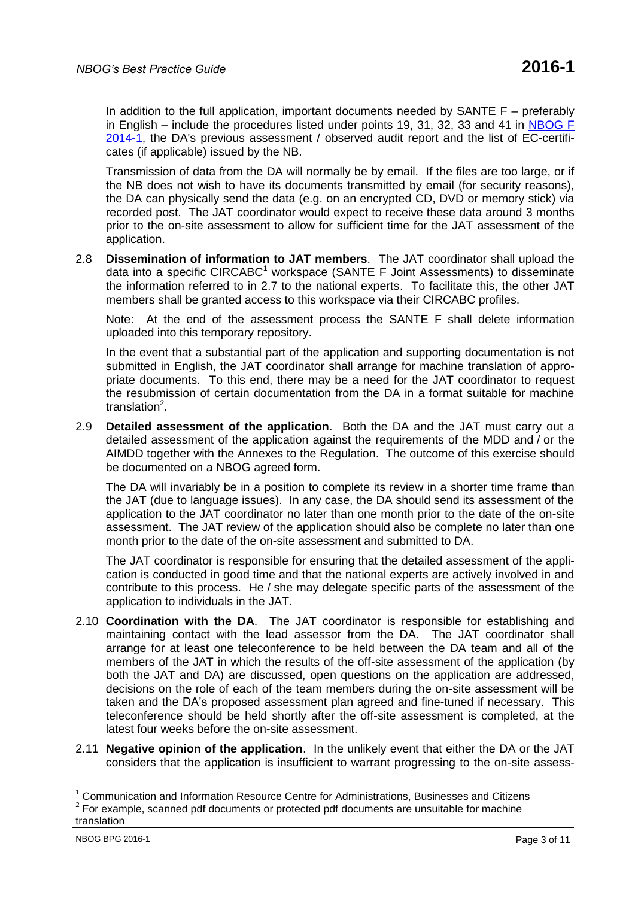In addition to the full application, important documents needed by SANTE  $F -$  preferably in English – include the procedures listed under points 19, 31, 32, 33 and 41 in [NBOG F](http://www.nbog.eu/resources/NBOG_F_2014_1.doc)  [2014-1,](http://www.nbog.eu/resources/NBOG_F_2014_1.doc) the DA's previous assessment / observed audit report and the list of EC-certificates (if applicable) issued by the NB.

Transmission of data from the DA will normally be by email. If the files are too large, or if the NB does not wish to have its documents transmitted by email (for security reasons), the DA can physically send the data (e.g. on an encrypted CD, DVD or memory stick) via recorded post. The JAT coordinator would expect to receive these data around 3 months prior to the on-site assessment to allow for sufficient time for the JAT assessment of the application.

2.8 **Dissemination of information to JAT members**. The JAT coordinator shall upload the data into a specific  $CIRCABC^1$  workspace (SANTE F Joint Assessments) to disseminate the information referred to in 2.7 to the national experts. To facilitate this, the other JAT members shall be granted access to this workspace via their CIRCABC profiles.

Note: At the end of the assessment process the SANTE F shall delete information uploaded into this temporary repository.

In the event that a substantial part of the application and supporting documentation is not submitted in English, the JAT coordinator shall arrange for machine translation of appropriate documents. To this end, there may be a need for the JAT coordinator to request the resubmission of certain documentation from the DA in a format suitable for machine translation<sup>2</sup>.

2.9 **Detailed assessment of the application**. Both the DA and the JAT must carry out a detailed assessment of the application against the requirements of the MDD and / or the AIMDD together with the Annexes to the Regulation. The outcome of this exercise should be documented on a NBOG agreed form.

The DA will invariably be in a position to complete its review in a shorter time frame than the JAT (due to language issues). In any case, the DA should send its assessment of the application to the JAT coordinator no later than one month prior to the date of the on-site assessment. The JAT review of the application should also be complete no later than one month prior to the date of the on-site assessment and submitted to DA.

The JAT coordinator is responsible for ensuring that the detailed assessment of the application is conducted in good time and that the national experts are actively involved in and contribute to this process. He / she may delegate specific parts of the assessment of the application to individuals in the JAT.

- 2.10 **Coordination with the DA**. The JAT coordinator is responsible for establishing and maintaining contact with the lead assessor from the DA. The JAT coordinator shall arrange for at least one teleconference to be held between the DA team and all of the members of the JAT in which the results of the off-site assessment of the application (by both the JAT and DA) are discussed, open questions on the application are addressed, decisions on the role of each of the team members during the on-site assessment will be taken and the DA's proposed assessment plan agreed and fine-tuned if necessary. This teleconference should be held shortly after the off-site assessment is completed, at the latest four weeks before the on-site assessment.
- 2.11 **Negative opinion of the application**. In the unlikely event that either the DA or the JAT considers that the application is insufficient to warrant progressing to the on-site assess-

 $\overline{\phantom{a}}$ 

 $1$  Communication and Information Resource Centre for Administrations, Businesses and Citizens

 $2$  For example, scanned pdf documents or protected pdf documents are unsuitable for machine translation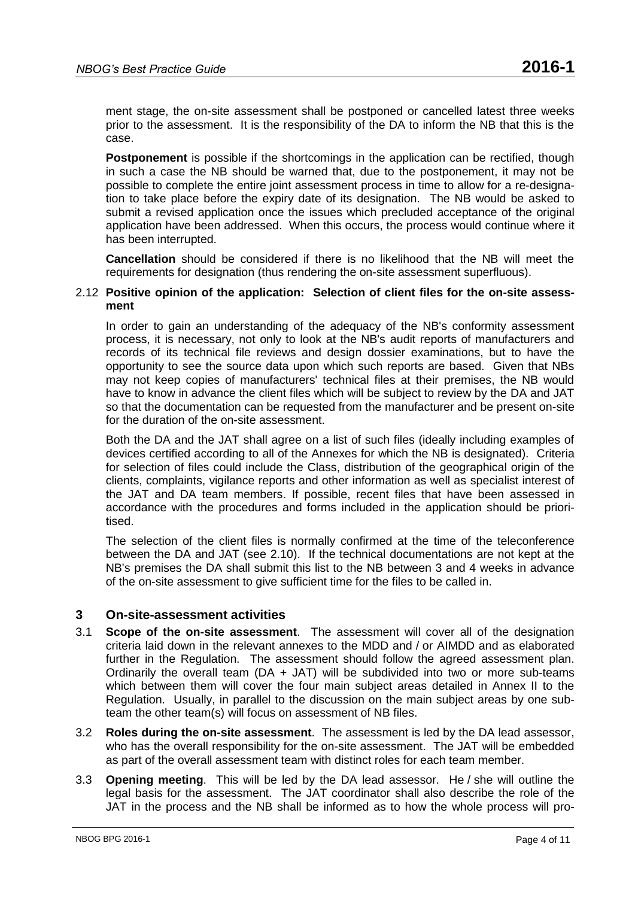ment stage, the on-site assessment shall be postponed or cancelled latest three weeks prior to the assessment. It is the responsibility of the DA to inform the NB that this is the case.

**Postponement** is possible if the shortcomings in the application can be rectified, though in such a case the NB should be warned that, due to the postponement, it may not be possible to complete the entire joint assessment process in time to allow for a re-designation to take place before the expiry date of its designation. The NB would be asked to submit a revised application once the issues which precluded acceptance of the original application have been addressed. When this occurs, the process would continue where it has been interrupted.

**Cancellation** should be considered if there is no likelihood that the NB will meet the requirements for designation (thus rendering the on-site assessment superfluous).

#### 2.12 **Positive opinion of the application: Selection of client files for the on-site assessment**

In order to gain an understanding of the adequacy of the NB's conformity assessment process, it is necessary, not only to look at the NB's audit reports of manufacturers and records of its technical file reviews and design dossier examinations, but to have the opportunity to see the source data upon which such reports are based. Given that NBs may not keep copies of manufacturers' technical files at their premises, the NB would have to know in advance the client files which will be subject to review by the DA and JAT so that the documentation can be requested from the manufacturer and be present on-site for the duration of the on-site assessment.

Both the DA and the JAT shall agree on a list of such files (ideally including examples of devices certified according to all of the Annexes for which the NB is designated). Criteria for selection of files could include the Class, distribution of the geographical origin of the clients, complaints, vigilance reports and other information as well as specialist interest of the JAT and DA team members. If possible, recent files that have been assessed in accordance with the procedures and forms included in the application should be prioritised.

The selection of the client files is normally confirmed at the time of the teleconference between the DA and JAT (see 2.10). If the technical documentations are not kept at the NB's premises the DA shall submit this list to the NB between 3 and 4 weeks in advance of the on-site assessment to give sufficient time for the files to be called in.

#### **3 On-site-assessment activities**

- 3.1 **Scope of the on-site assessment**. The assessment will cover all of the designation criteria laid down in the relevant annexes to the MDD and / or AIMDD and as elaborated further in the Regulation. The assessment should follow the agreed assessment plan. Ordinarily the overall team ( $DA + JAT$ ) will be subdivided into two or more sub-teams which between them will cover the four main subject areas detailed in Annex II to the Regulation. Usually, in parallel to the discussion on the main subject areas by one subteam the other team(s) will focus on assessment of NB files.
- 3.2 **Roles during the on-site assessment**. The assessment is led by the DA lead assessor, who has the overall responsibility for the on-site assessment. The JAT will be embedded as part of the overall assessment team with distinct roles for each team member.
- 3.3 **Opening meeting**. This will be led by the DA lead assessor. He / she will outline the legal basis for the assessment. The JAT coordinator shall also describe the role of the JAT in the process and the NB shall be informed as to how the whole process will pro-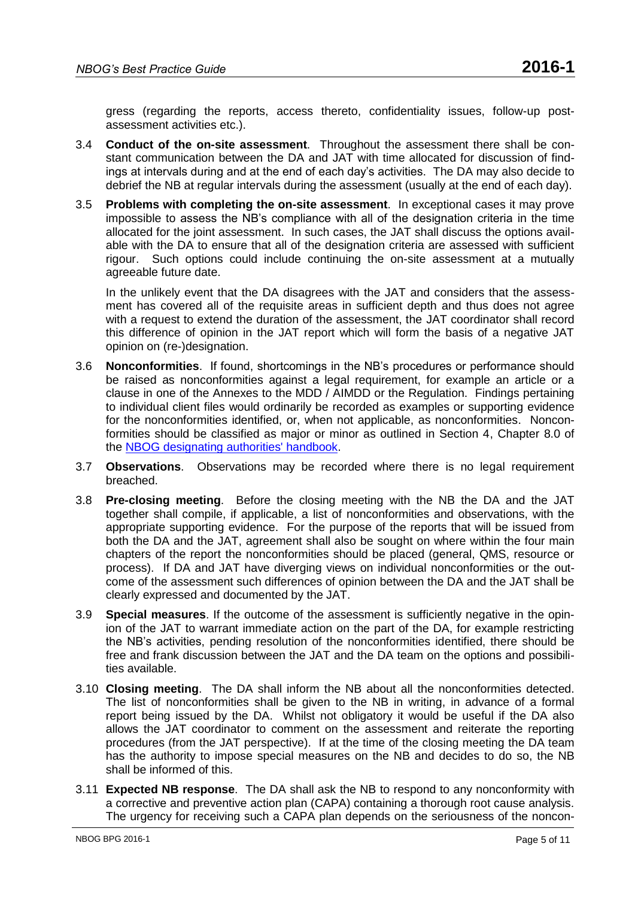gress (regarding the reports, access thereto, confidentiality issues, follow-up postassessment activities etc.).

- 3.4 **Conduct of the on-site assessment**. Throughout the assessment there shall be constant communication between the DA and JAT with time allocated for discussion of findings at intervals during and at the end of each day's activities. The DA may also decide to debrief the NB at regular intervals during the assessment (usually at the end of each day).
- 3.5 **Problems with completing the on-site assessment**. In exceptional cases it may prove impossible to assess the NB's compliance with all of the designation criteria in the time allocated for the joint assessment. In such cases, the JAT shall discuss the options available with the DA to ensure that all of the designation criteria are assessed with sufficient rigour. Such options could include continuing the on-site assessment at a mutually agreeable future date.

In the unlikely event that the DA disagrees with the JAT and considers that the assessment has covered all of the requisite areas in sufficient depth and thus does not agree with a request to extend the duration of the assessment, the JAT coordinator shall record this difference of opinion in the JAT report which will form the basis of a negative JAT opinion on (re-)designation.

- 3.6 **Nonconformities**. If found, shortcomings in the NB's procedures or performance should be raised as nonconformities against a legal requirement, for example an article or a clause in one of the Annexes to the MDD / AIMDD or the Regulation. Findings pertaining to individual client files would ordinarily be recorded as examples or supporting evidence for the nonconformities identified, or, when not applicable, as nonconformities. Nonconformities should be classified as major or minor as outlined in Section 4, Chapter 8.0 of the [NBOG designating authorities' handbook.](http://www.nbog.eu/resources/da_handbook.pdf)
- 3.7 **Observations**. Observations may be recorded where there is no legal requirement breached.
- 3.8 **Pre-closing meeting**. Before the closing meeting with the NB the DA and the JAT together shall compile, if applicable, a list of nonconformities and observations, with the appropriate supporting evidence. For the purpose of the reports that will be issued from both the DA and the JAT, agreement shall also be sought on where within the four main chapters of the report the nonconformities should be placed (general, QMS, resource or process). If DA and JAT have diverging views on individual nonconformities or the outcome of the assessment such differences of opinion between the DA and the JAT shall be clearly expressed and documented by the JAT.
- 3.9 **Special measures**. If the outcome of the assessment is sufficiently negative in the opinion of the JAT to warrant immediate action on the part of the DA, for example restricting the NB's activities, pending resolution of the nonconformities identified, there should be free and frank discussion between the JAT and the DA team on the options and possibilities available.
- 3.10 **Closing meeting**. The DA shall inform the NB about all the nonconformities detected. The list of nonconformities shall be given to the NB in writing, in advance of a formal report being issued by the DA. Whilst not obligatory it would be useful if the DA also allows the JAT coordinator to comment on the assessment and reiterate the reporting procedures (from the JAT perspective). If at the time of the closing meeting the DA team has the authority to impose special measures on the NB and decides to do so, the NB shall be informed of this.
- 3.11 **Expected NB response**. The DA shall ask the NB to respond to any nonconformity with a corrective and preventive action plan (CAPA) containing a thorough root cause analysis. The urgency for receiving such a CAPA plan depends on the seriousness of the noncon-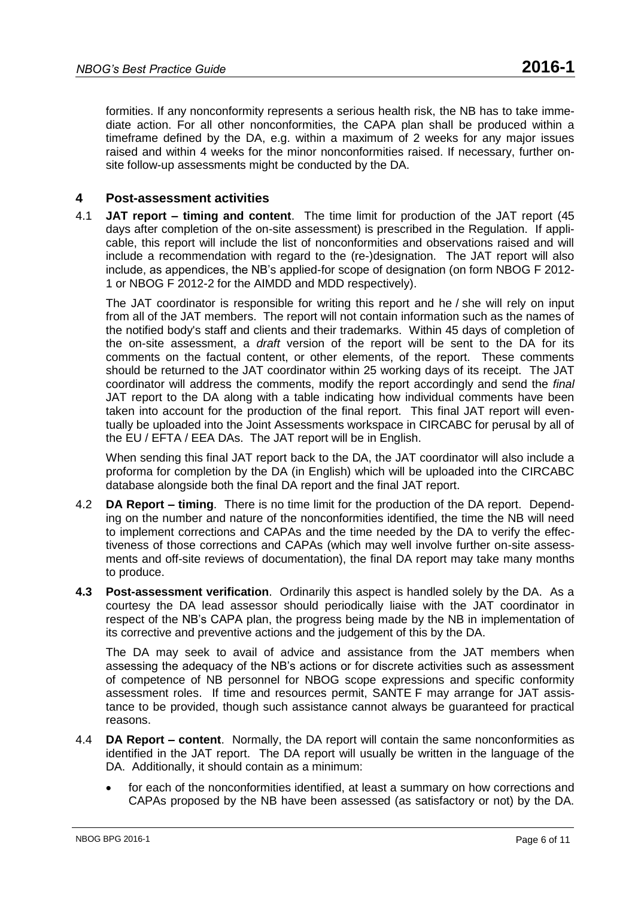formities. If any nonconformity represents a serious health risk, the NB has to take immediate action. For all other nonconformities, the CAPA plan shall be produced within a timeframe defined by the DA, e.g. within a maximum of 2 weeks for any major issues raised and within 4 weeks for the minor nonconformities raised. If necessary, further onsite follow-up assessments might be conducted by the DA.

## **4 Post-assessment activities**

4.1 **JAT report – timing and content**. The time limit for production of the JAT report (45 days after completion of the on-site assessment) is prescribed in the Regulation. If applicable, this report will include the list of nonconformities and observations raised and will include a recommendation with regard to the (re-)designation. The JAT report will also include, as appendices, the NB's applied-for scope of designation (on form NBOG F 2012- 1 or NBOG F 2012-2 for the AIMDD and MDD respectively).

The JAT coordinator is responsible for writing this report and he / she will rely on input from all of the JAT members. The report will not contain information such as the names of the notified body's staff and clients and their trademarks. Within 45 days of completion of the on-site assessment, a *draft* version of the report will be sent to the DA for its comments on the factual content, or other elements, of the report. These comments should be returned to the JAT coordinator within 25 working days of its receipt. The JAT coordinator will address the comments, modify the report accordingly and send the *final* JAT report to the DA along with a table indicating how individual comments have been taken into account for the production of the final report. This final JAT report will eventually be uploaded into the Joint Assessments workspace in CIRCABC for perusal by all of the EU / EFTA / EEA DAs. The JAT report will be in English.

When sending this final JAT report back to the DA, the JAT coordinator will also include a proforma for completion by the DA (in English) which will be uploaded into the CIRCABC database alongside both the final DA report and the final JAT report.

- 4.2 **DA Report – timing**. There is no time limit for the production of the DA report. Depending on the number and nature of the nonconformities identified, the time the NB will need to implement corrections and CAPAs and the time needed by the DA to verify the effectiveness of those corrections and CAPAs (which may well involve further on-site assessments and off-site reviews of documentation), the final DA report may take many months to produce.
- **4.3 Post-assessment verification**. Ordinarily this aspect is handled solely by the DA. As a courtesy the DA lead assessor should periodically liaise with the JAT coordinator in respect of the NB's CAPA plan, the progress being made by the NB in implementation of its corrective and preventive actions and the judgement of this by the DA.

The DA may seek to avail of advice and assistance from the JAT members when assessing the adequacy of the NB's actions or for discrete activities such as assessment of competence of NB personnel for NBOG scope expressions and specific conformity assessment roles. If time and resources permit, SANTE F may arrange for JAT assistance to be provided, though such assistance cannot always be guaranteed for practical reasons.

- 4.4 **DA Report – content**. Normally, the DA report will contain the same nonconformities as identified in the JAT report. The DA report will usually be written in the language of the DA. Additionally, it should contain as a minimum:
	- for each of the nonconformities identified, at least a summary on how corrections and CAPAs proposed by the NB have been assessed (as satisfactory or not) by the DA.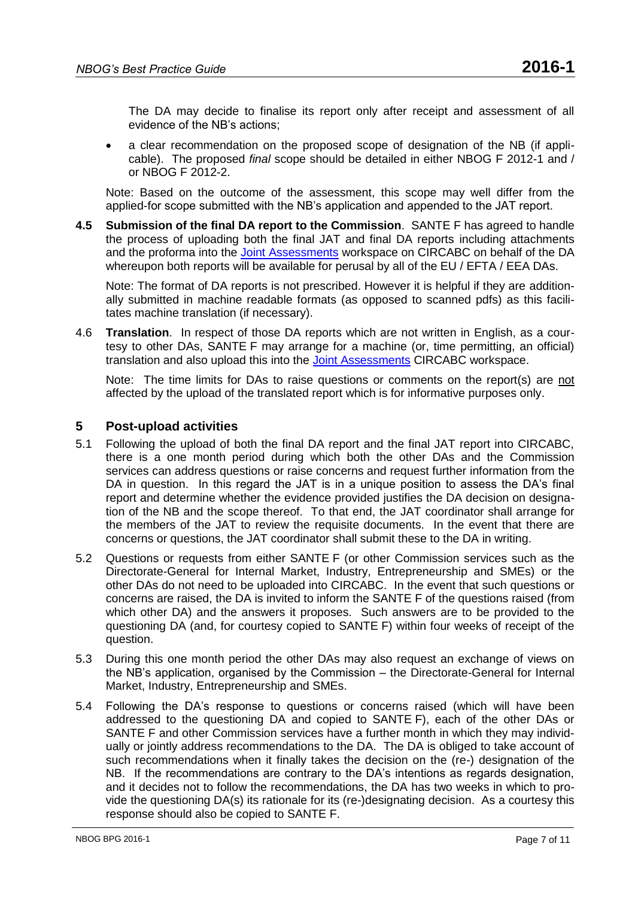The DA may decide to finalise its report only after receipt and assessment of all evidence of the NB's actions;

 a clear recommendation on the proposed scope of designation of the NB (if applicable). The proposed *final* scope should be detailed in either [NBOG F 2012-1](http://www.nbog.eu/resources/NBOG_F_2012_1.doc) and / or NBOG F [2012-2.](http://www.nbog.eu/resources/NBOG_F_2012_2.doc)

Note: Based on the outcome of the assessment, this scope may well differ from the applied-for scope submitted with the NB's application and appended to the JAT report.

**4.5 Submission of the final DA report to the Commission**. SANTE F has agreed to handle the process of uploading both the final JAT and final DA reports including attachments and the proforma into the [Joint Assessments](https://circabc.europa.eu/w/browse/db0b3d0c-e537-4f96-8e20-3f79bfc0751b) workspace on CIRCABC on behalf of the DA whereupon both reports will be available for perusal by all of the EU / EFTA / EEA DAs.

Note: The format of DA reports is not prescribed. However it is helpful if they are additionally submitted in machine readable formats (as opposed to scanned pdfs) as this facilitates machine translation (if necessary).

4.6 **Translation**. In respect of those DA reports which are not written in English, as a courtesy to other DAs, SANTE F may arrange for a machine (or, time permitting, an official) translation and also upload this into the [Joint Assessments](https://circabc.europa.eu/w/browse/db0b3d0c-e537-4f96-8e20-3f79bfc0751b) CIRCABC workspace.

Note: The time limits for DAs to raise questions or comments on the report(s) are not affected by the upload of the translated report which is for informative purposes only.

### **5 Post-upload activities**

- 5.1 Following the upload of both the final DA report and the final JAT report into CIRCABC, there is a one month period during which both the other DAs and the Commission services can address questions or raise concerns and request further information from the DA in question. In this regard the JAT is in a unique position to assess the DA's final report and determine whether the evidence provided justifies the DA decision on designation of the NB and the scope thereof. To that end, the JAT coordinator shall arrange for the members of the JAT to review the requisite documents. In the event that there are concerns or questions, the JAT coordinator shall submit these to the DA in writing.
- 5.2 Questions or requests from either SANTE F (or other Commission services such as the Directorate-General for Internal Market, Industry, Entrepreneurship and SMEs) or the other DAs do not need to be uploaded into CIRCABC. In the event that such questions or concerns are raised, the DA is invited to inform the SANTE F of the questions raised (from which other DA) and the answers it proposes. Such answers are to be provided to the questioning DA (and, for courtesy copied to SANTE F) within four weeks of receipt of the question.
- 5.3 During this one month period the other DAs may also request an exchange of views on the NB's application, organised by the Commission – the Directorate-General for Internal Market, Industry, Entrepreneurship and SMEs.
- 5.4 Following the DA's response to questions or concerns raised (which will have been addressed to the questioning DA and copied to SANTE F), each of the other DAs or SANTE F and other Commission services have a further month in which they may individually or jointly address recommendations to the DA. The DA is obliged to take account of such recommendations when it finally takes the decision on the (re-) designation of the NB. If the recommendations are contrary to the DA's intentions as regards designation, and it decides not to follow the recommendations, the DA has two weeks in which to provide the questioning DA(s) its rationale for its (re-)designating decision. As a courtesy this response should also be copied to SANTE F.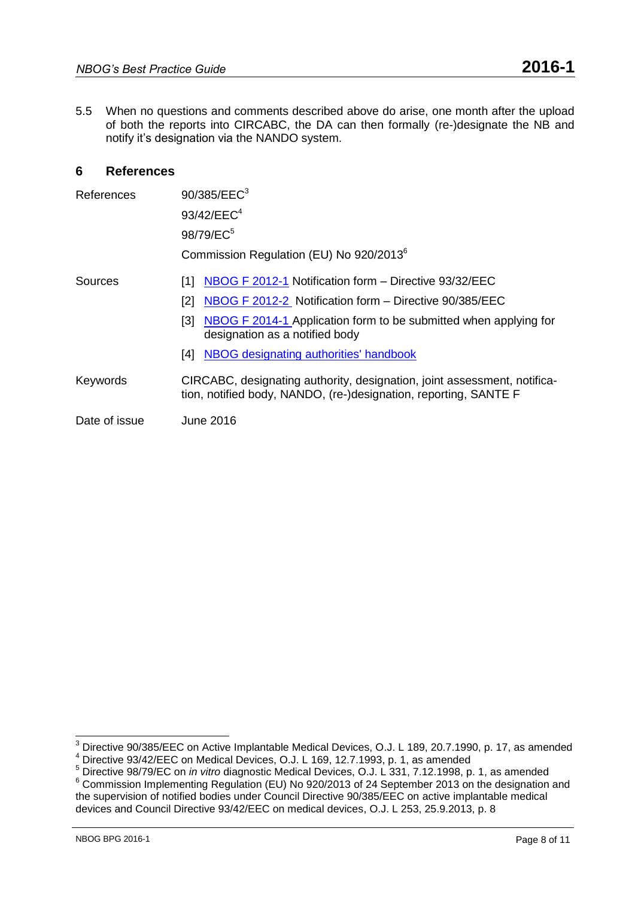5.5 When no questions and comments described above do arise, one month after the upload of both the reports into CIRCABC, the DA can then formally (re-)designate the NB and notify it's designation via the NANDO system.

## **6 References**

| References    | 90/385/EEC <sup>3</sup>                                                                                                                      |
|---------------|----------------------------------------------------------------------------------------------------------------------------------------------|
|               | 93/42/EEC <sup>4</sup>                                                                                                                       |
|               | 98/79/EC <sup>5</sup>                                                                                                                        |
|               | Commission Regulation (EU) No 920/2013 <sup>6</sup>                                                                                          |
| Sources       | NBOG F 2012-1 Notification form - Directive 93/32/EEC<br>111                                                                                 |
|               | NBOG F 2012-2 Notification form - Directive 90/385/EEC<br>[2]                                                                                |
|               | [3] NBOG F 2014-1 Application form to be submitted when applying for<br>designation as a notified body                                       |
|               | NBOG designating authorities' handbook<br>[4]                                                                                                |
| Keywords      | CIRCABC, designating authority, designation, joint assessment, notifica-<br>tion, notified body, NANDO, (re-)designation, reporting, SANTE F |
| Date of issue | June 2016                                                                                                                                    |

 $^3$  Directive 90/385/EEC on Active Implantable Medical Devices, O.J. L 189, 20.7.1990, p. 17, as amended Birective 90/00/EEC on Medical Devices, O.J. L 169, 12.7.1993, p. 1, as amended

<sup>5</sup> Directive 98/79/EC on *in vitro* diagnostic Medical Devices, O.J. L 331, 7.12.1998, p. 1, as amended

<sup>&</sup>lt;sup>6</sup> Commission Implementing Regulation (EU) No 920/2013 of 24 September 2013 on the designation and the supervision of notified bodies under Council Directive 90/385/EEC on active implantable medical devices and Council Directive 93/42/EEC on medical devices, O.J. L 253, 25.9.2013, p. 8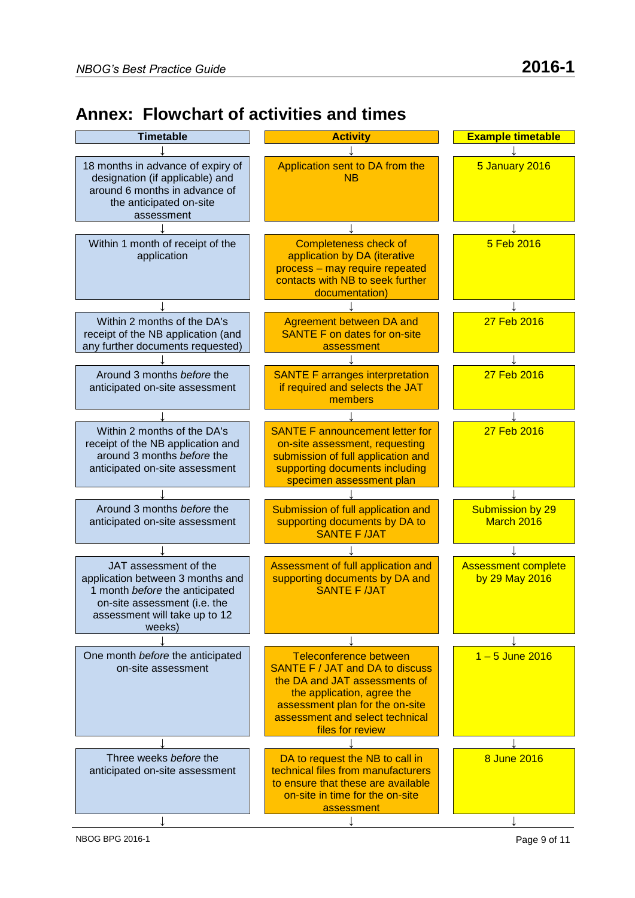## **Annex: Flowchart of activities and times**

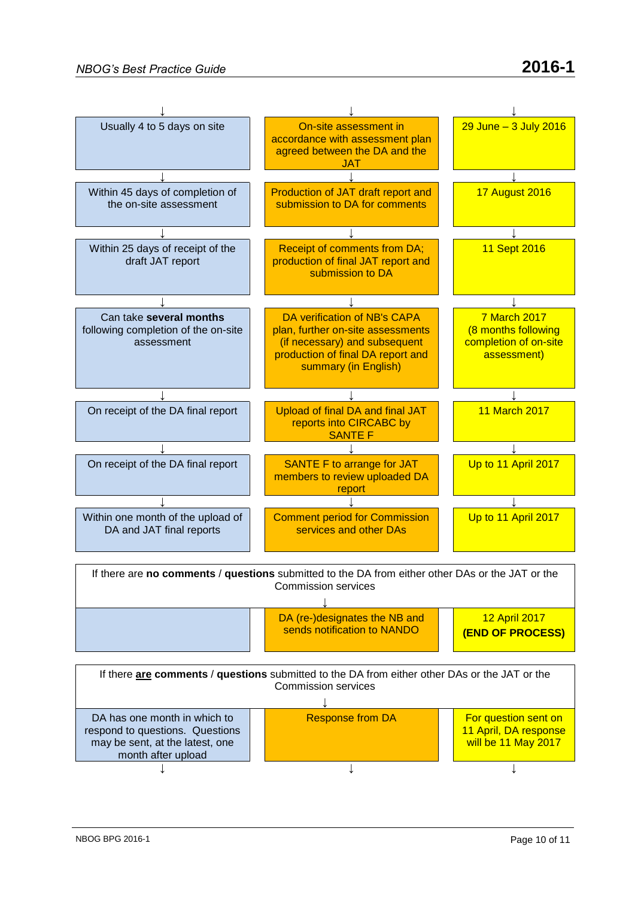

↓ ↓ ↓

may be sent, at the latest, one month after upload